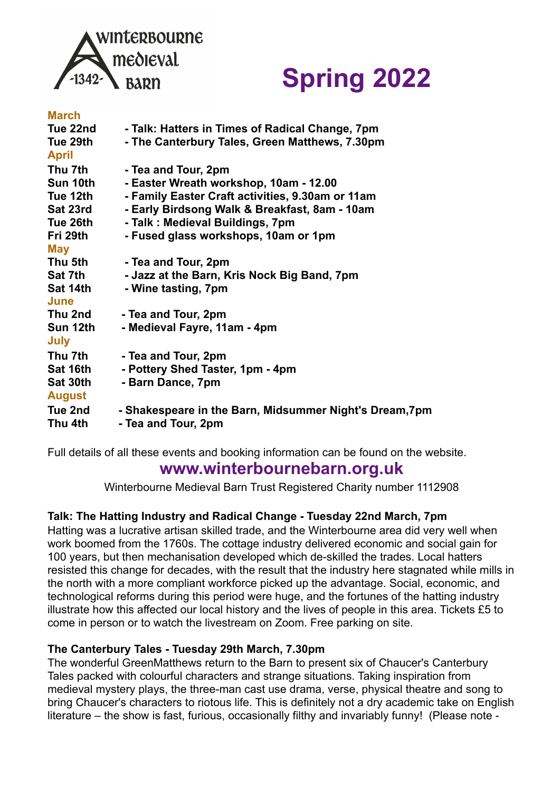

# **Spring 2022**

| <b>March</b>  |                                                         |
|---------------|---------------------------------------------------------|
| Tue 22nd      | - Talk: Hatters in Times of Radical Change, 7pm         |
| Tue 29th      | - The Canterbury Tales, Green Matthews, 7.30pm          |
| <b>April</b>  |                                                         |
| Thu 7th       | - Tea and Tour, 2pm                                     |
| Sun 10th      | - Easter Wreath workshop, 10am - 12.00                  |
| Tue 12th      | - Family Easter Craft activities, 9.30am or 11am        |
| Sat 23rd      | - Early Birdsong Walk & Breakfast, 8am - 10am           |
| Tue 26th      | - Talk: Medieval Buildings, 7pm                         |
| Fri 29th      | - Fused glass workshops, 10am or 1pm                    |
| <b>May</b>    |                                                         |
| Thu 5th       | - Tea and Tour, 2pm                                     |
| Sat 7th       | - Jazz at the Barn, Kris Nock Big Band, 7pm             |
| Sat 14th      | - Wine tasting, 7pm                                     |
| June          |                                                         |
| Thu 2nd       | - Tea and Tour, 2pm                                     |
| Sun 12th      | - Medieval Fayre, 11am - 4pm                            |
| <b>July</b>   |                                                         |
| Thu 7th       | - Tea and Tour, 2pm                                     |
| Sat 16th      | - Pottery Shed Taster, 1pm - 4pm                        |
| Sat 30th      | - Barn Dance, 7pm                                       |
| <b>August</b> |                                                         |
| Tue 2nd       | - Shakespeare in the Barn, Midsummer Night's Dream, 7pm |
| Thu 4th       | - Tea and Tour, 2pm                                     |
|               |                                                         |

Full details of all these events and booking information can be found on the website.

# **[www.winterbournebarn.org.uk](http://www.winterbournebarn.org.uk/)**

Winterbourne Medieval Barn Trust Registered Charity number 1112908

### **Talk: The Hatting Industry and Radical Change - Tuesday 22nd March, 7pm**

Hatting was a lucrative artisan skilled trade, and the Winterbourne area did very well when work boomed from the 1760s. The cottage industry delivered economic and social gain for 100 years, but then mechanisation developed which de-skilled the trades. Local hatters resisted this change for decades, with the result that the industry here stagnated while mills in the north with a more compliant workforce picked up the advantage. Social, economic, and technological reforms during this period were huge, and the fortunes of the hatting industry illustrate how this affected our local history and the lives of people in this area. Tickets £5 to come in person or to watch the livestream on Zoom. Free parking on site.

### **The Canterbury Tales - Tuesday 29th March, 7.30pm**

The wonderful GreenMatthews return to the Barn to present six of Chaucer's Canterbury Tales packed with colourful characters and strange situations. Taking inspiration from medieval mystery plays, the three-man cast use drama, verse, physical theatre and song to bring Chaucer's characters to riotous life. This is definitely not a dry academic take on English literature – the show is fast, furious, occasionally filthy and invariably funny! (Please note -